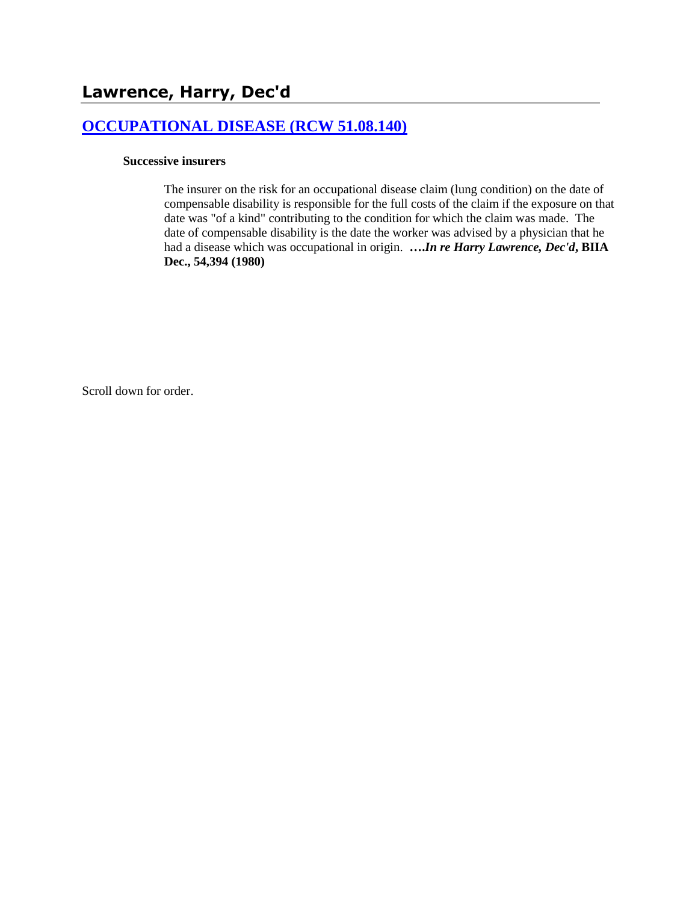# **[OCCUPATIONAL DISEASE \(RCW 51.08.140\)](http://www.biia.wa.gov/SDSubjectIndex.html#OCCUPATIONAL_DISEASE)**

### **Successive insurers**

The insurer on the risk for an occupational disease claim (lung condition) on the date of compensable disability is responsible for the full costs of the claim if the exposure on that date was "of a kind" contributing to the condition for which the claim was made. The date of compensable disability is the date the worker was advised by a physician that he had a disease which was occupational in origin. **….***In re Harry Lawrence, Dec'd***, BIIA Dec., 54,394 (1980)**

Scroll down for order.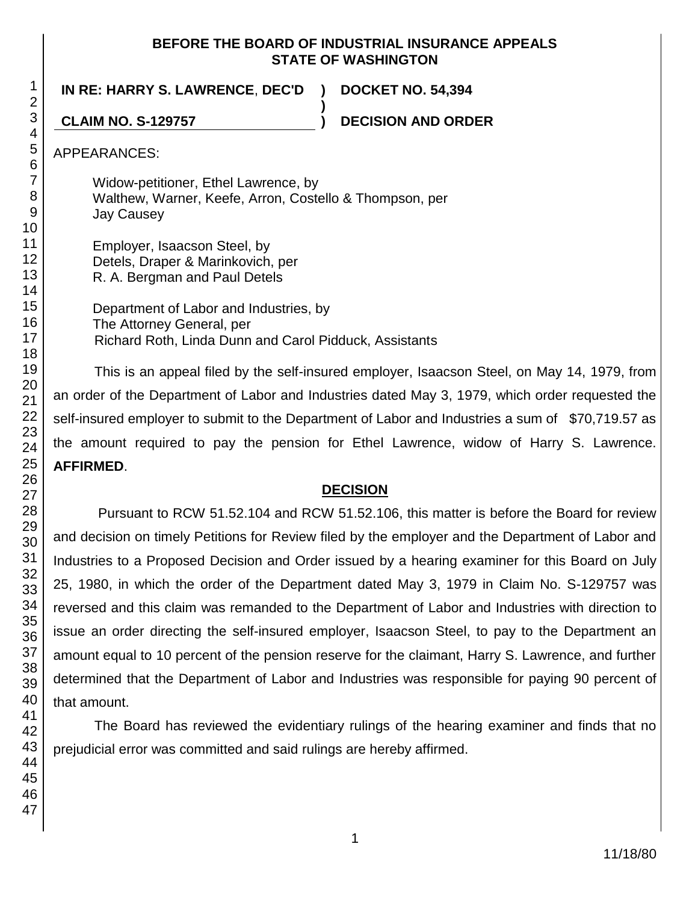### **BEFORE THE BOARD OF INDUSTRIAL INSURANCE APPEALS STATE OF WASHINGTON**

**)**

**IN RE: HARRY S. LAWRENCE**, **DEC'D ) DOCKET NO. 54,394**

**CLAIM NO. S-129757 ) DECISION AND ORDER**

APPEARANCES:

Widow-petitioner, Ethel Lawrence, by Walthew, Warner, Keefe, Arron, Costello & Thompson, per Jay Causey

Employer, Isaacson Steel, by Detels, Draper & Marinkovich, per R. A. Bergman and Paul Detels

Department of Labor and Industries, by The Attorney General, per Richard Roth, Linda Dunn and Carol Pidduck, Assistants

This is an appeal filed by the self-insured employer, Isaacson Steel, on May 14, 1979, from an order of the Department of Labor and Industries dated May 3, 1979, which order requested the self-insured employer to submit to the Department of Labor and Industries a sum of \$70,719.57 as the amount required to pay the pension for Ethel Lawrence, widow of Harry S. Lawrence. **AFFIRMED**.

# **DECISION**

Pursuant to RCW 51.52.104 and RCW 51.52.106, this matter is before the Board for review and decision on timely Petitions for Review filed by the employer and the Department of Labor and Industries to a Proposed Decision and Order issued by a hearing examiner for this Board on July 25, 1980, in which the order of the Department dated May 3, 1979 in Claim No. S-129757 was reversed and this claim was remanded to the Department of Labor and Industries with direction to issue an order directing the self-insured employer, Isaacson Steel, to pay to the Department an amount equal to 10 percent of the pension reserve for the claimant, Harry S. Lawrence, and further determined that the Department of Labor and Industries was responsible for paying 90 percent of that amount.

The Board has reviewed the evidentiary rulings of the hearing examiner and finds that no prejudicial error was committed and said rulings are hereby affirmed.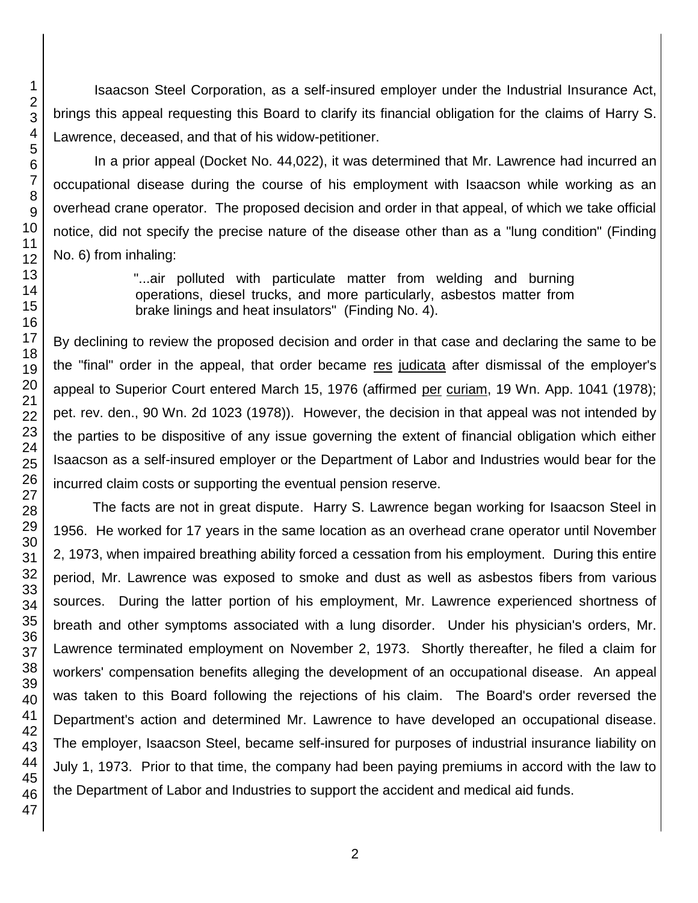Isaacson Steel Corporation, as a self-insured employer under the Industrial Insurance Act, brings this appeal requesting this Board to clarify its financial obligation for the claims of Harry S. Lawrence, deceased, and that of his widow-petitioner.

In a prior appeal (Docket No. 44,022), it was determined that Mr. Lawrence had incurred an occupational disease during the course of his employment with Isaacson while working as an overhead crane operator. The proposed decision and order in that appeal, of which we take official notice, did not specify the precise nature of the disease other than as a "lung condition" (Finding No. 6) from inhaling:

> "...air polluted with particulate matter from welding and burning operations, diesel trucks, and more particularly, asbestos matter from brake linings and heat insulators" (Finding No. 4).

By declining to review the proposed decision and order in that case and declaring the same to be the "final" order in the appeal, that order became res judicata after dismissal of the employer's appeal to Superior Court entered March 15, 1976 (affirmed per curiam, 19 Wn. App. 1041 (1978); pet. rev. den., 90 Wn. 2d 1023 (1978)). However, the decision in that appeal was not intended by the parties to be dispositive of any issue governing the extent of financial obligation which either Isaacson as a self-insured employer or the Department of Labor and Industries would bear for the incurred claim costs or supporting the eventual pension reserve.

The facts are not in great dispute. Harry S. Lawrence began working for Isaacson Steel in 1956. He worked for 17 years in the same location as an overhead crane operator until November 2, 1973, when impaired breathing ability forced a cessation from his employment. During this entire period, Mr. Lawrence was exposed to smoke and dust as well as asbestos fibers from various sources. During the latter portion of his employment, Mr. Lawrence experienced shortness of breath and other symptoms associated with a lung disorder. Under his physician's orders, Mr. Lawrence terminated employment on November 2, 1973. Shortly thereafter, he filed a claim for workers' compensation benefits alleging the development of an occupational disease. An appeal was taken to this Board following the rejections of his claim. The Board's order reversed the Department's action and determined Mr. Lawrence to have developed an occupational disease. The employer, Isaacson Steel, became self-insured for purposes of industrial insurance liability on July 1, 1973. Prior to that time, the company had been paying premiums in accord with the law to the Department of Labor and Industries to support the accident and medical aid funds.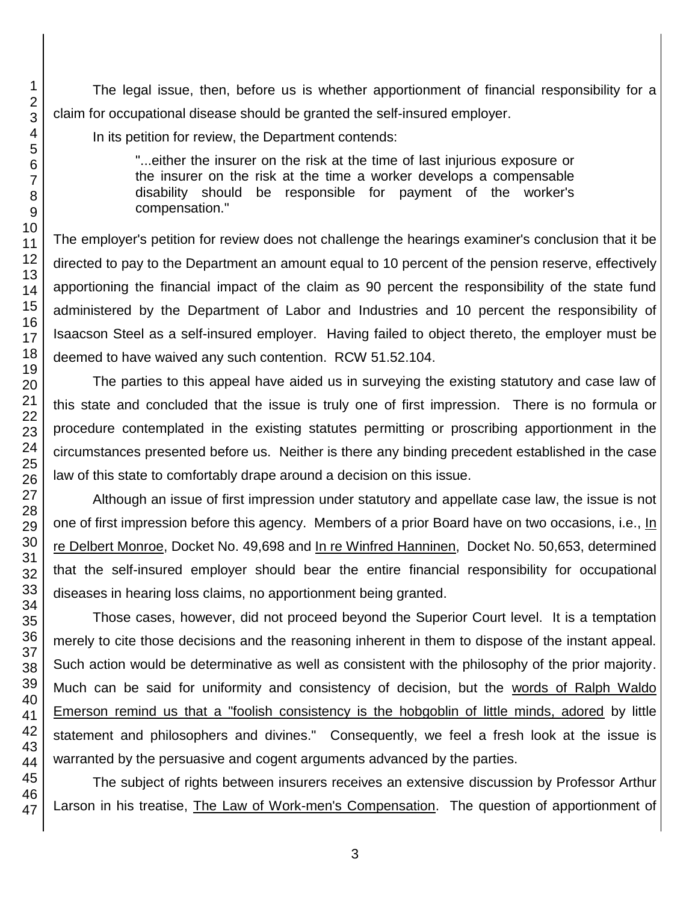The legal issue, then, before us is whether apportionment of financial responsibility for a claim for occupational disease should be granted the self-insured employer.

In its petition for review, the Department contends:

"...either the insurer on the risk at the time of last injurious exposure or the insurer on the risk at the time a worker develops a compensable disability should be responsible for payment of the worker's compensation."

The employer's petition for review does not challenge the hearings examiner's conclusion that it be directed to pay to the Department an amount equal to 10 percent of the pension reserve, effectively apportioning the financial impact of the claim as 90 percent the responsibility of the state fund administered by the Department of Labor and Industries and 10 percent the responsibility of Isaacson Steel as a self-insured employer. Having failed to object thereto, the employer must be deemed to have waived any such contention. RCW 51.52.104.

The parties to this appeal have aided us in surveying the existing statutory and case law of this state and concluded that the issue is truly one of first impression. There is no formula or procedure contemplated in the existing statutes permitting or proscribing apportionment in the circumstances presented before us. Neither is there any binding precedent established in the case law of this state to comfortably drape around a decision on this issue.

Although an issue of first impression under statutory and appellate case law, the issue is not one of first impression before this agency. Members of a prior Board have on two occasions, i.e., In re Delbert Monroe, Docket No. 49,698 and In re Winfred Hanninen, Docket No. 50,653, determined that the self-insured employer should bear the entire financial responsibility for occupational diseases in hearing loss claims, no apportionment being granted.

Those cases, however, did not proceed beyond the Superior Court level. It is a temptation merely to cite those decisions and the reasoning inherent in them to dispose of the instant appeal. Such action would be determinative as well as consistent with the philosophy of the prior majority. Much can be said for uniformity and consistency of decision, but the words of Ralph Waldo Emerson remind us that a "foolish consistency is the hobgoblin of little minds, adored by little statement and philosophers and divines." Consequently, we feel a fresh look at the issue is warranted by the persuasive and cogent arguments advanced by the parties.

The subject of rights between insurers receives an extensive discussion by Professor Arthur Larson in his treatise, The Law of Work-men's Compensation. The question of apportionment of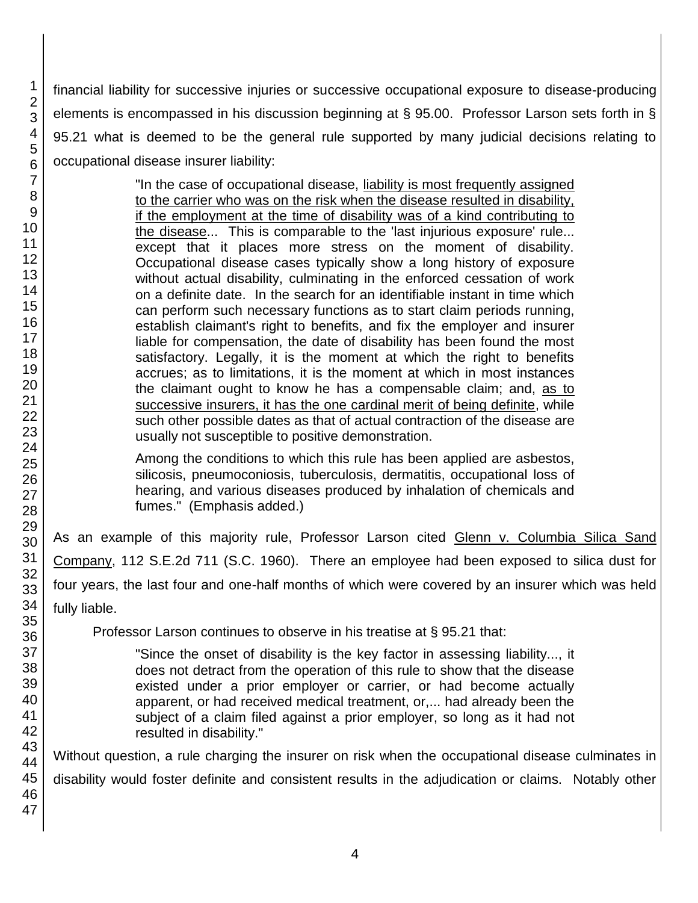financial liability for successive injuries or successive occupational exposure to disease-producing elements is encompassed in his discussion beginning at § 95.00. Professor Larson sets forth in § 95.21 what is deemed to be the general rule supported by many judicial decisions relating to occupational disease insurer liability:

> "In the case of occupational disease, liability is most frequently assigned to the carrier who was on the risk when the disease resulted in disability, if the employment at the time of disability was of a kind contributing to the disease... This is comparable to the 'last injurious exposure' rule... except that it places more stress on the moment of disability. Occupational disease cases typically show a long history of exposure without actual disability, culminating in the enforced cessation of work on a definite date. In the search for an identifiable instant in time which can perform such necessary functions as to start claim periods running, establish claimant's right to benefits, and fix the employer and insurer liable for compensation, the date of disability has been found the most satisfactory. Legally, it is the moment at which the right to benefits accrues; as to limitations, it is the moment at which in most instances the claimant ought to know he has a compensable claim; and, as to successive insurers, it has the one cardinal merit of being definite, while such other possible dates as that of actual contraction of the disease are usually not susceptible to positive demonstration.

> Among the conditions to which this rule has been applied are asbestos, silicosis, pneumoconiosis, tuberculosis, dermatitis, occupational loss of hearing, and various diseases produced by inhalation of chemicals and fumes." (Emphasis added.)

As an example of this majority rule, Professor Larson cited Glenn v. Columbia Silica Sand Company, 112 S.E.2d 711 (S.C. 1960). There an employee had been exposed to silica dust for four years, the last four and one-half months of which were covered by an insurer which was held fully liable.

Professor Larson continues to observe in his treatise at § 95.21 that:

"Since the onset of disability is the key factor in assessing liability..., it does not detract from the operation of this rule to show that the disease existed under a prior employer or carrier, or had become actually apparent, or had received medical treatment, or,... had already been the subject of a claim filed against a prior employer, so long as it had not resulted in disability."

Without question, a rule charging the insurer on risk when the occupational disease culminates in disability would foster definite and consistent results in the adjudication or claims. Notably other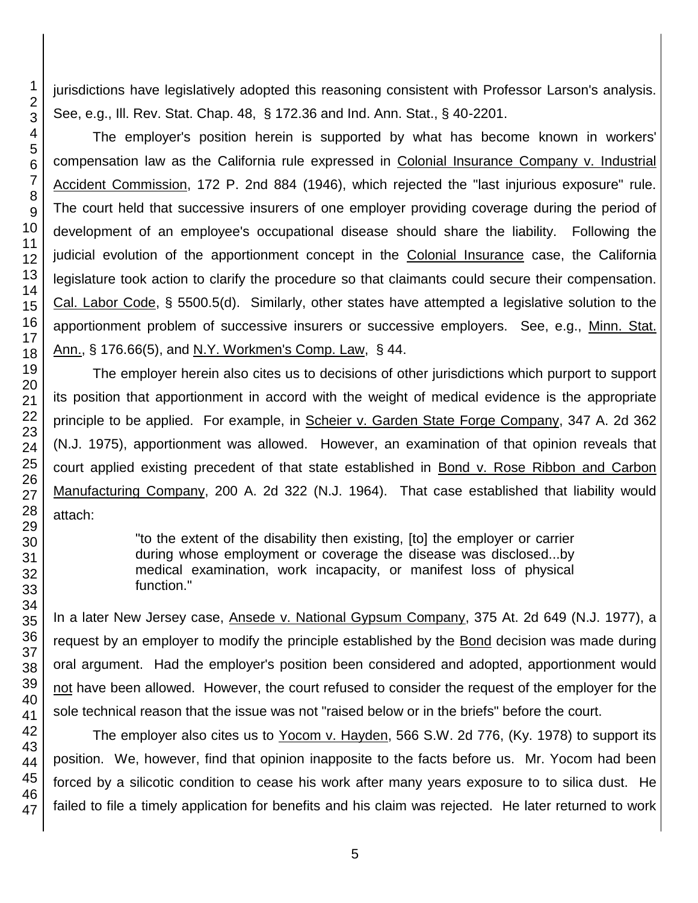jurisdictions have legislatively adopted this reasoning consistent with Professor Larson's analysis. See, e.g., Ill. Rev. Stat. Chap. 48, § 172.36 and Ind. Ann. Stat., § 40-2201.

The employer's position herein is supported by what has become known in workers' compensation law as the California rule expressed in Colonial Insurance Company v. Industrial Accident Commission, 172 P. 2nd 884 (1946), which rejected the "last injurious exposure" rule. The court held that successive insurers of one employer providing coverage during the period of development of an employee's occupational disease should share the liability. Following the judicial evolution of the apportionment concept in the Colonial Insurance case, the California legislature took action to clarify the procedure so that claimants could secure their compensation. Cal. Labor Code, § 5500.5(d). Similarly, other states have attempted a legislative solution to the apportionment problem of successive insurers or successive employers. See, e.g., Minn. Stat. Ann., § 176.66(5), and N.Y. Workmen's Comp. Law, § 44.

The employer herein also cites us to decisions of other jurisdictions which purport to support its position that apportionment in accord with the weight of medical evidence is the appropriate principle to be applied. For example, in Scheier v. Garden State Forge Company, 347 A. 2d 362 (N.J. 1975), apportionment was allowed. However, an examination of that opinion reveals that court applied existing precedent of that state established in Bond v. Rose Ribbon and Carbon Manufacturing Company, 200 A. 2d 322 (N.J. 1964). That case established that liability would attach:

> "to the extent of the disability then existing, [to] the employer or carrier during whose employment or coverage the disease was disclosed...by medical examination, work incapacity, or manifest loss of physical function."

In a later New Jersey case, Ansede v. National Gypsum Company, 375 At. 2d 649 (N.J. 1977), a request by an employer to modify the principle established by the Bond decision was made during oral argument. Had the employer's position been considered and adopted, apportionment would not have been allowed. However, the court refused to consider the request of the employer for the sole technical reason that the issue was not "raised below or in the briefs" before the court.

The employer also cites us to Yocom v. Hayden, 566 S.W. 2d 776, (Ky. 1978) to support its position. We, however, find that opinion inapposite to the facts before us. Mr. Yocom had been forced by a silicotic condition to cease his work after many years exposure to to silica dust. He failed to file a timely application for benefits and his claim was rejected. He later returned to work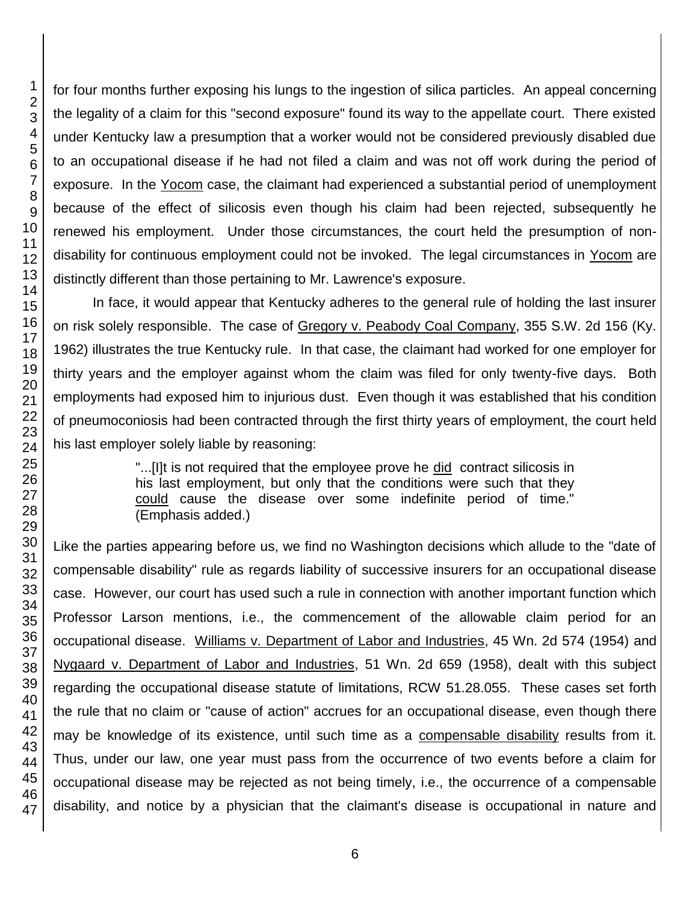for four months further exposing his lungs to the ingestion of silica particles. An appeal concerning the legality of a claim for this "second exposure" found its way to the appellate court. There existed under Kentucky law a presumption that a worker would not be considered previously disabled due to an occupational disease if he had not filed a claim and was not off work during the period of exposure. In the Yocom case, the claimant had experienced a substantial period of unemployment because of the effect of silicosis even though his claim had been rejected, subsequently he renewed his employment. Under those circumstances, the court held the presumption of nondisability for continuous employment could not be invoked. The legal circumstances in Yocom are distinctly different than those pertaining to Mr. Lawrence's exposure.

In face, it would appear that Kentucky adheres to the general rule of holding the last insurer on risk solely responsible. The case of Gregory v. Peabody Coal Company, 355 S.W. 2d 156 (Ky. 1962) illustrates the true Kentucky rule. In that case, the claimant had worked for one employer for thirty years and the employer against whom the claim was filed for only twenty-five days. Both employments had exposed him to injurious dust. Even though it was established that his condition of pneumoconiosis had been contracted through the first thirty years of employment, the court held his last employer solely liable by reasoning:

> "...[I]t is not required that the employee prove he did contract silicosis in his last employment, but only that the conditions were such that they could cause the disease over some indefinite period of time." (Emphasis added.)

Like the parties appearing before us, we find no Washington decisions which allude to the "date of compensable disability" rule as regards liability of successive insurers for an occupational disease case. However, our court has used such a rule in connection with another important function which Professor Larson mentions, i.e., the commencement of the allowable claim period for an occupational disease. Williams v. Department of Labor and Industries, 45 Wn. 2d 574 (1954) and Nygaard v. Department of Labor and Industries, 51 Wn. 2d 659 (1958), dealt with this subject regarding the occupational disease statute of limitations, RCW 51.28.055. These cases set forth the rule that no claim or "cause of action" accrues for an occupational disease, even though there may be knowledge of its existence, until such time as a compensable disability results from it. Thus, under our law, one year must pass from the occurrence of two events before a claim for occupational disease may be rejected as not being timely, i.e., the occurrence of a compensable disability, and notice by a physician that the claimant's disease is occupational in nature and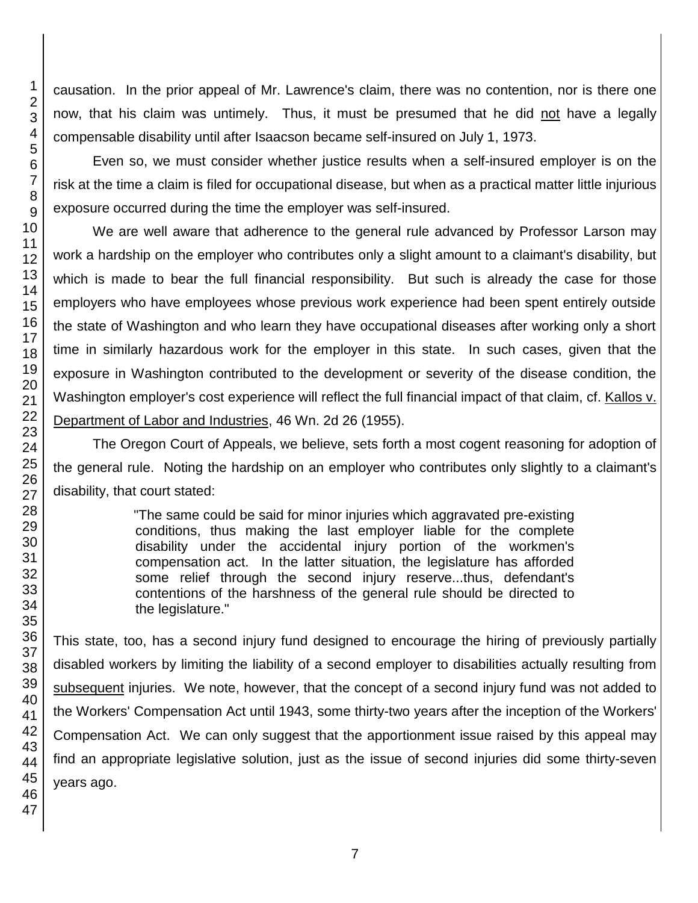causation. In the prior appeal of Mr. Lawrence's claim, there was no contention, nor is there one now, that his claim was untimely. Thus, it must be presumed that he did not have a legally compensable disability until after Isaacson became self-insured on July 1, 1973.

Even so, we must consider whether justice results when a self-insured employer is on the risk at the time a claim is filed for occupational disease, but when as a practical matter little injurious exposure occurred during the time the employer was self-insured.

We are well aware that adherence to the general rule advanced by Professor Larson may work a hardship on the employer who contributes only a slight amount to a claimant's disability, but which is made to bear the full financial responsibility. But such is already the case for those employers who have employees whose previous work experience had been spent entirely outside the state of Washington and who learn they have occupational diseases after working only a short time in similarly hazardous work for the employer in this state. In such cases, given that the exposure in Washington contributed to the development or severity of the disease condition, the Washington employer's cost experience will reflect the full financial impact of that claim, cf. Kallos v. Department of Labor and Industries, 46 Wn. 2d 26 (1955).

The Oregon Court of Appeals, we believe, sets forth a most cogent reasoning for adoption of the general rule. Noting the hardship on an employer who contributes only slightly to a claimant's disability, that court stated:

> "The same could be said for minor injuries which aggravated pre-existing conditions, thus making the last employer liable for the complete disability under the accidental injury portion of the workmen's compensation act. In the latter situation, the legislature has afforded some relief through the second injury reserve...thus, defendant's contentions of the harshness of the general rule should be directed to the legislature."

This state, too, has a second injury fund designed to encourage the hiring of previously partially disabled workers by limiting the liability of a second employer to disabilities actually resulting from subsequent injuries. We note, however, that the concept of a second injury fund was not added to the Workers' Compensation Act until 1943, some thirty-two years after the inception of the Workers' Compensation Act. We can only suggest that the apportionment issue raised by this appeal may find an appropriate legislative solution, just as the issue of second injuries did some thirty-seven years ago.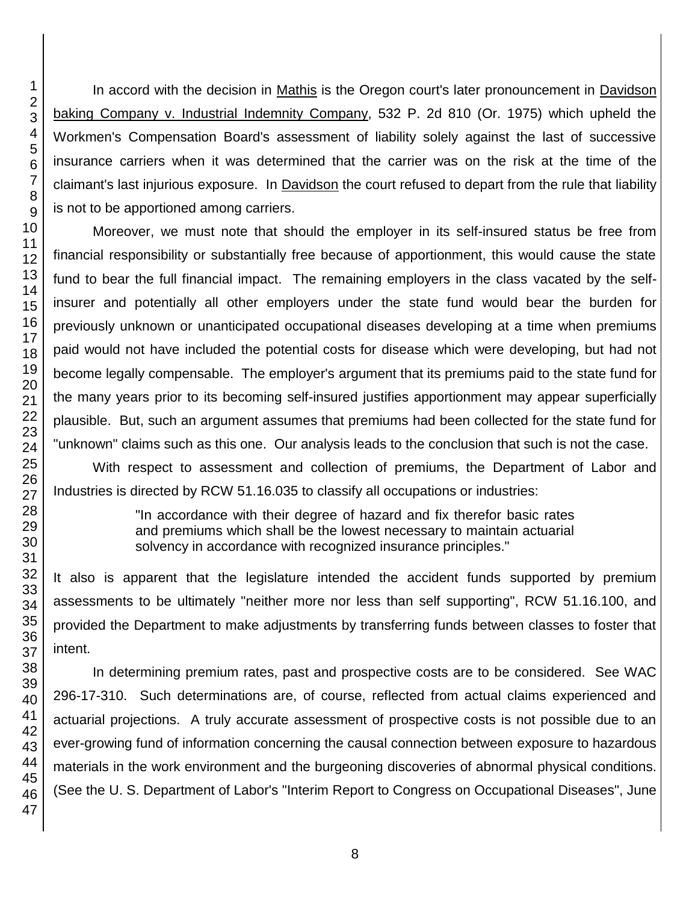In accord with the decision in Mathis is the Oregon court's later pronouncement in Davidson baking Company v. Industrial Indemnity Company, 532 P. 2d 810 (Or. 1975) which upheld the Workmen's Compensation Board's assessment of liability solely against the last of successive insurance carriers when it was determined that the carrier was on the risk at the time of the claimant's last injurious exposure. In Davidson the court refused to depart from the rule that liability is not to be apportioned among carriers.

Moreover, we must note that should the employer in its self-insured status be free from financial responsibility or substantially free because of apportionment, this would cause the state fund to bear the full financial impact. The remaining employers in the class vacated by the selfinsurer and potentially all other employers under the state fund would bear the burden for previously unknown or unanticipated occupational diseases developing at a time when premiums paid would not have included the potential costs for disease which were developing, but had not become legally compensable. The employer's argument that its premiums paid to the state fund for the many years prior to its becoming self-insured justifies apportionment may appear superficially plausible. But, such an argument assumes that premiums had been collected for the state fund for "unknown" claims such as this one. Our analysis leads to the conclusion that such is not the case.

With respect to assessment and collection of premiums, the Department of Labor and Industries is directed by RCW 51.16.035 to classify all occupations or industries:

> "In accordance with their degree of hazard and fix therefor basic rates and premiums which shall be the lowest necessary to maintain actuarial solvency in accordance with recognized insurance principles."

It also is apparent that the legislature intended the accident funds supported by premium assessments to be ultimately "neither more nor less than self supporting", RCW 51.16.100, and provided the Department to make adjustments by transferring funds between classes to foster that intent.

In determining premium rates, past and prospective costs are to be considered. See WAC 296-17-310. Such determinations are, of course, reflected from actual claims experienced and actuarial projections. A truly accurate assessment of prospective costs is not possible due to an ever-growing fund of information concerning the causal connection between exposure to hazardous materials in the work environment and the burgeoning discoveries of abnormal physical conditions. (See the U. S. Department of Labor's "Interim Report to Congress on Occupational Diseases", June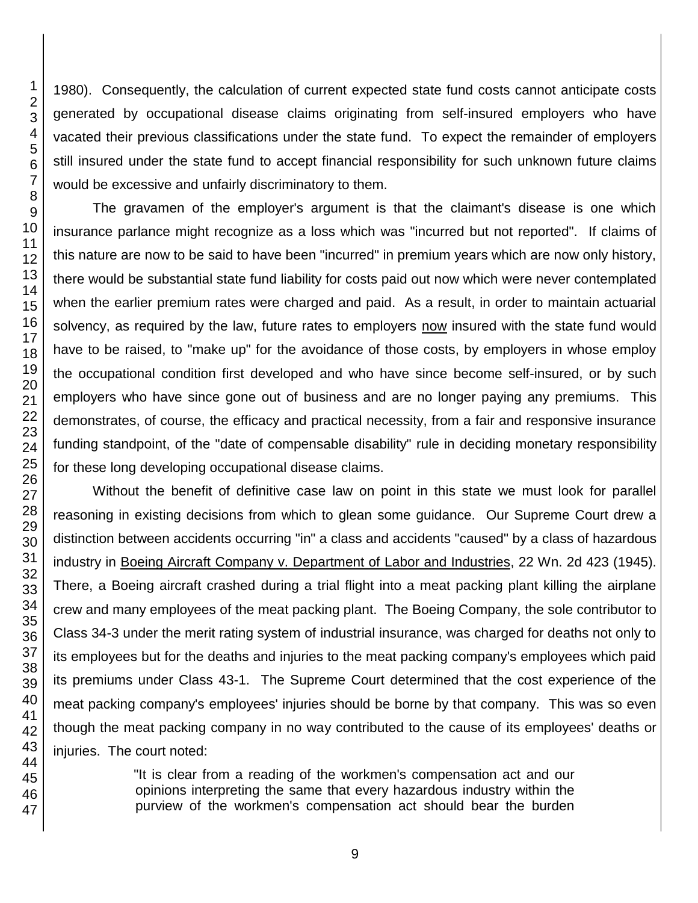1980). Consequently, the calculation of current expected state fund costs cannot anticipate costs generated by occupational disease claims originating from self-insured employers who have vacated their previous classifications under the state fund. To expect the remainder of employers still insured under the state fund to accept financial responsibility for such unknown future claims would be excessive and unfairly discriminatory to them.

The gravamen of the employer's argument is that the claimant's disease is one which insurance parlance might recognize as a loss which was "incurred but not reported". If claims of this nature are now to be said to have been "incurred" in premium years which are now only history, there would be substantial state fund liability for costs paid out now which were never contemplated when the earlier premium rates were charged and paid. As a result, in order to maintain actuarial solvency, as required by the law, future rates to employers now insured with the state fund would have to be raised, to "make up" for the avoidance of those costs, by employers in whose employ the occupational condition first developed and who have since become self-insured, or by such employers who have since gone out of business and are no longer paying any premiums. This demonstrates, of course, the efficacy and practical necessity, from a fair and responsive insurance funding standpoint, of the "date of compensable disability" rule in deciding monetary responsibility for these long developing occupational disease claims.

Without the benefit of definitive case law on point in this state we must look for parallel reasoning in existing decisions from which to glean some guidance. Our Supreme Court drew a distinction between accidents occurring "in" a class and accidents "caused" by a class of hazardous industry in Boeing Aircraft Company v. Department of Labor and Industries, 22 Wn. 2d 423 (1945). There, a Boeing aircraft crashed during a trial flight into a meat packing plant killing the airplane crew and many employees of the meat packing plant. The Boeing Company, the sole contributor to Class 34-3 under the merit rating system of industrial insurance, was charged for deaths not only to its employees but for the deaths and injuries to the meat packing company's employees which paid its premiums under Class 43-1. The Supreme Court determined that the cost experience of the meat packing company's employees' injuries should be borne by that company. This was so even though the meat packing company in no way contributed to the cause of its employees' deaths or injuries. The court noted:

> "It is clear from a reading of the workmen's compensation act and our opinions interpreting the same that every hazardous industry within the purview of the workmen's compensation act should bear the burden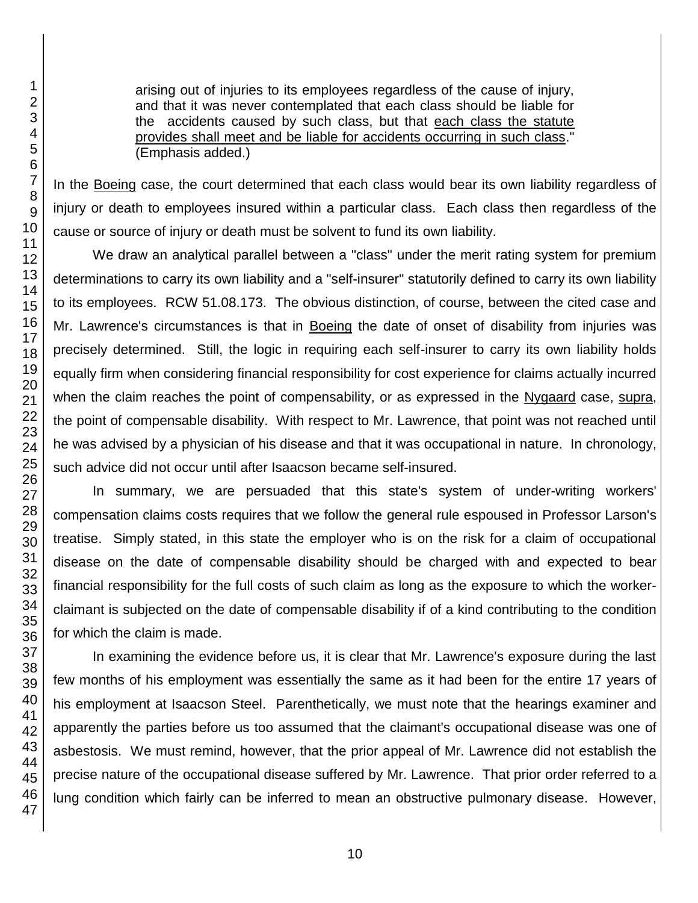arising out of injuries to its employees regardless of the cause of injury, and that it was never contemplated that each class should be liable for the accidents caused by such class, but that each class the statute provides shall meet and be liable for accidents occurring in such class." (Emphasis added.)

In the Boeing case, the court determined that each class would bear its own liability regardless of injury or death to employees insured within a particular class. Each class then regardless of the cause or source of injury or death must be solvent to fund its own liability.

We draw an analytical parallel between a "class" under the merit rating system for premium determinations to carry its own liability and a "self-insurer" statutorily defined to carry its own liability to its employees. RCW 51.08.173. The obvious distinction, of course, between the cited case and Mr. Lawrence's circumstances is that in Boeing the date of onset of disability from injuries was precisely determined. Still, the logic in requiring each self-insurer to carry its own liability holds equally firm when considering financial responsibility for cost experience for claims actually incurred when the claim reaches the point of compensability, or as expressed in the Nygaard case, supra, the point of compensable disability. With respect to Mr. Lawrence, that point was not reached until he was advised by a physician of his disease and that it was occupational in nature. In chronology, such advice did not occur until after Isaacson became self-insured.

In summary, we are persuaded that this state's system of under-writing workers' compensation claims costs requires that we follow the general rule espoused in Professor Larson's treatise. Simply stated, in this state the employer who is on the risk for a claim of occupational disease on the date of compensable disability should be charged with and expected to bear financial responsibility for the full costs of such claim as long as the exposure to which the workerclaimant is subjected on the date of compensable disability if of a kind contributing to the condition for which the claim is made.

In examining the evidence before us, it is clear that Mr. Lawrence's exposure during the last few months of his employment was essentially the same as it had been for the entire 17 years of his employment at Isaacson Steel. Parenthetically, we must note that the hearings examiner and apparently the parties before us too assumed that the claimant's occupational disease was one of asbestosis. We must remind, however, that the prior appeal of Mr. Lawrence did not establish the precise nature of the occupational disease suffered by Mr. Lawrence. That prior order referred to a lung condition which fairly can be inferred to mean an obstructive pulmonary disease. However,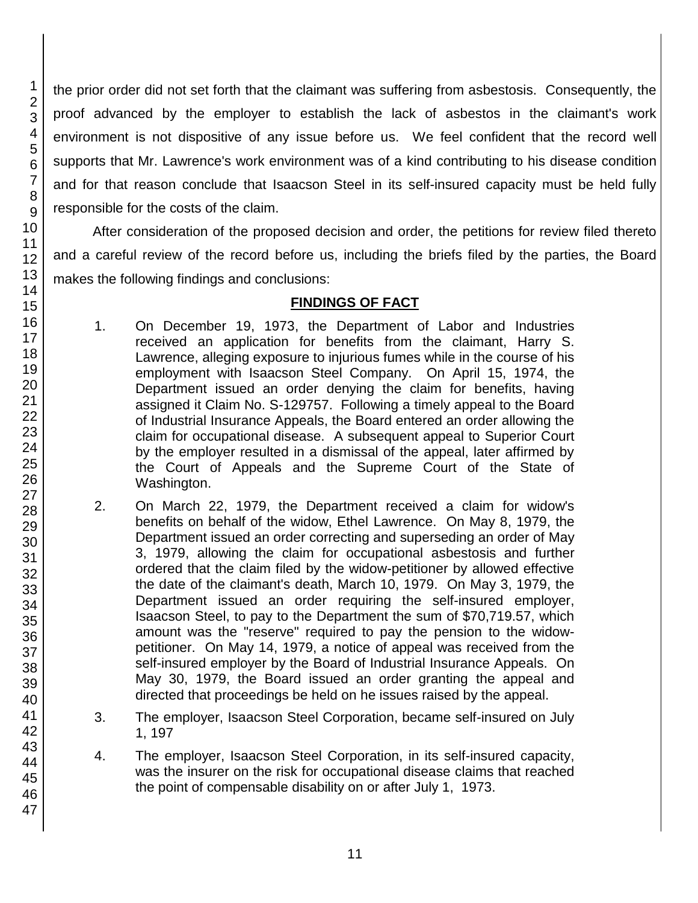the prior order did not set forth that the claimant was suffering from asbestosis. Consequently, the proof advanced by the employer to establish the lack of asbestos in the claimant's work environment is not dispositive of any issue before us. We feel confident that the record well supports that Mr. Lawrence's work environment was of a kind contributing to his disease condition and for that reason conclude that Isaacson Steel in its self-insured capacity must be held fully responsible for the costs of the claim.

After consideration of the proposed decision and order, the petitions for review filed thereto and a careful review of the record before us, including the briefs filed by the parties, the Board makes the following findings and conclusions:

## **FINDINGS OF FACT**

- 1. On December 19, 1973, the Department of Labor and Industries received an application for benefits from the claimant, Harry S. Lawrence, alleging exposure to injurious fumes while in the course of his employment with Isaacson Steel Company. On April 15, 1974, the Department issued an order denying the claim for benefits, having assigned it Claim No. S-129757. Following a timely appeal to the Board of Industrial Insurance Appeals, the Board entered an order allowing the claim for occupational disease. A subsequent appeal to Superior Court by the employer resulted in a dismissal of the appeal, later affirmed by the Court of Appeals and the Supreme Court of the State of Washington.
- 2. On March 22, 1979, the Department received a claim for widow's benefits on behalf of the widow, Ethel Lawrence. On May 8, 1979, the Department issued an order correcting and superseding an order of May 3, 1979, allowing the claim for occupational asbestosis and further ordered that the claim filed by the widow-petitioner by allowed effective the date of the claimant's death, March 10, 1979. On May 3, 1979, the Department issued an order requiring the self-insured employer, Isaacson Steel, to pay to the Department the sum of \$70,719.57, which amount was the "reserve" required to pay the pension to the widowpetitioner. On May 14, 1979, a notice of appeal was received from the self-insured employer by the Board of Industrial Insurance Appeals. On May 30, 1979, the Board issued an order granting the appeal and directed that proceedings be held on he issues raised by the appeal.
- 3. The employer, Isaacson Steel Corporation, became self-insured on July 1, 197
- 4. The employer, Isaacson Steel Corporation, in its self-insured capacity, was the insurer on the risk for occupational disease claims that reached the point of compensable disability on or after July 1, 1973.